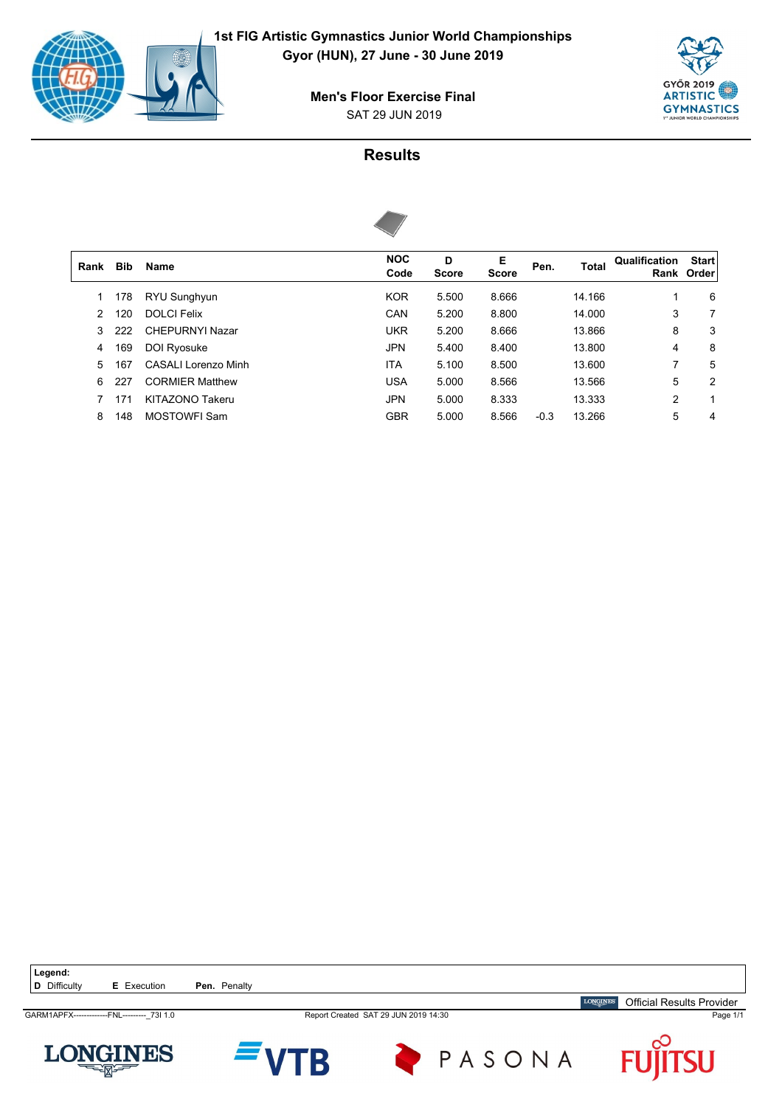

SAT 29 JUN 2019 **Men's Floor Exercise Final**





| Rank          | <b>Bib</b> | <b>Name</b>            | <b>NOC</b><br>Code | D<br><b>Score</b> | Е<br><b>Score</b> | Pen.   | Total  | Qualification  | <b>Start</b><br>Rank Order |
|---------------|------------|------------------------|--------------------|-------------------|-------------------|--------|--------|----------------|----------------------------|
|               | 178        | RYU Sunghyun           | <b>KOR</b>         | 5.500             | 8.666             |        | 14.166 | 1              | 6                          |
| $\mathcal{P}$ | 120        | <b>DOLCI Felix</b>     | CAN                | 5.200             | 8.800             |        | 14.000 | 3              | 7                          |
| 3             | 222        | <b>CHEPURNYI Nazar</b> | <b>UKR</b>         | 5.200             | 8.666             |        | 13.866 | 8              | 3                          |
| 4             | 169        | DOI Ryosuke            | <b>JPN</b>         | 5.400             | 8.400             |        | 13.800 | 4              | 8                          |
| 5.            | 167        | CASALLI orenzo Minh    | <b>ITA</b>         | 5.100             | 8.500             |        | 13.600 | 7              | 5                          |
| 6             | 227        | <b>CORMIER Matthew</b> | <b>USA</b>         | 5.000             | 8.566             |        | 13.566 | 5              | 2                          |
|               | 171        | KITAZONO Takeru        | <b>JPN</b>         | 5.000             | 8.333             |        | 13.333 | $\overline{2}$ | 1                          |
| 8             | 148        | <b>MOSTOWFI Sam</b>    | <b>GBR</b>         | 5.000             | 8.566             | $-0.3$ | 13.266 | 5              | 4                          |
|               |            |                        |                    |                   |                   |        |        |                |                            |

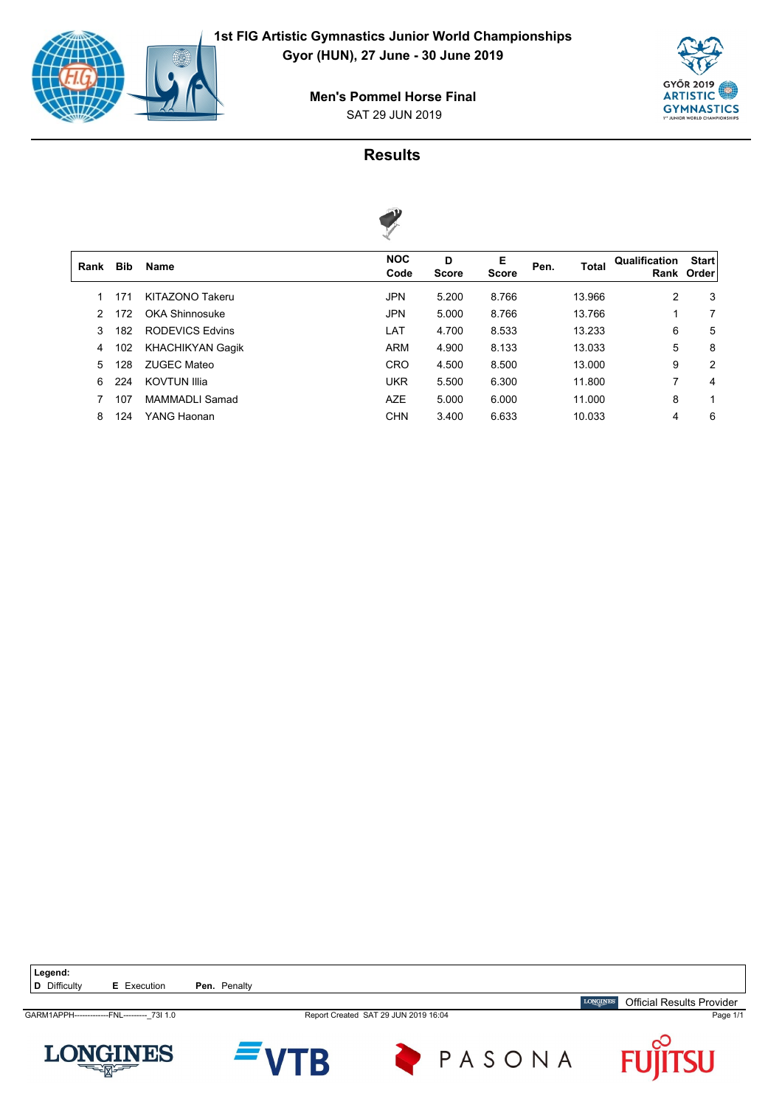

 $\sqrt{ }$ 

**GYŐR 2019 ARTISTIC GYMNASTICS** 

#### SAT 29 JUN 2019 **Men's Pommel Horse Final**



| Rank | <b>Bib</b> | <b>Name</b>             | <b>NOC</b><br>Code | D<br><b>Score</b> | Е<br><b>Score</b> | Pen. | <b>Total</b> | Qualification | <b>Start</b><br>Rank Order |
|------|------------|-------------------------|--------------------|-------------------|-------------------|------|--------------|---------------|----------------------------|
|      | 171        | KITAZONO Takeru         | <b>JPN</b>         | 5.200             | 8.766             |      | 13.966       | 2             | 3                          |
|      | 172        | <b>OKA Shinnosuke</b>   | <b>JPN</b>         | 5.000             | 8.766             |      | 13.766       | 1             | 7                          |
| 3    | 182        | <b>RODEVICS Edvins</b>  | LAT                | 4.700             | 8.533             |      | 13.233       | 6             | 5                          |
| 4    | 102        | <b>KHACHIKYAN Gagik</b> | ARM                | 4.900             | 8.133             |      | 13.033       | 5             | 8                          |
| 5.   | 128        | <b>ZUGEC Mateo</b>      | CRO                | 4.500             | 8.500             |      | 13.000       | 9             | 2                          |
| 6    | 224        | <b>KOVTUN Illia</b>     | <b>UKR</b>         | 5.500             | 6.300             |      | 11.800       | 7             | 4                          |
|      | 107        | MAMMADLI Samad          | <b>AZE</b>         | 5.000             | 6.000             |      | 11.000       | 8             | 1                          |
| 8    | 124        | YANG Haonan             | <b>CHN</b>         | 3.400             | 6.633             |      | 10.033       | 4             | 6                          |
|      |            |                         |                    |                   |                   |      |              |               |                            |

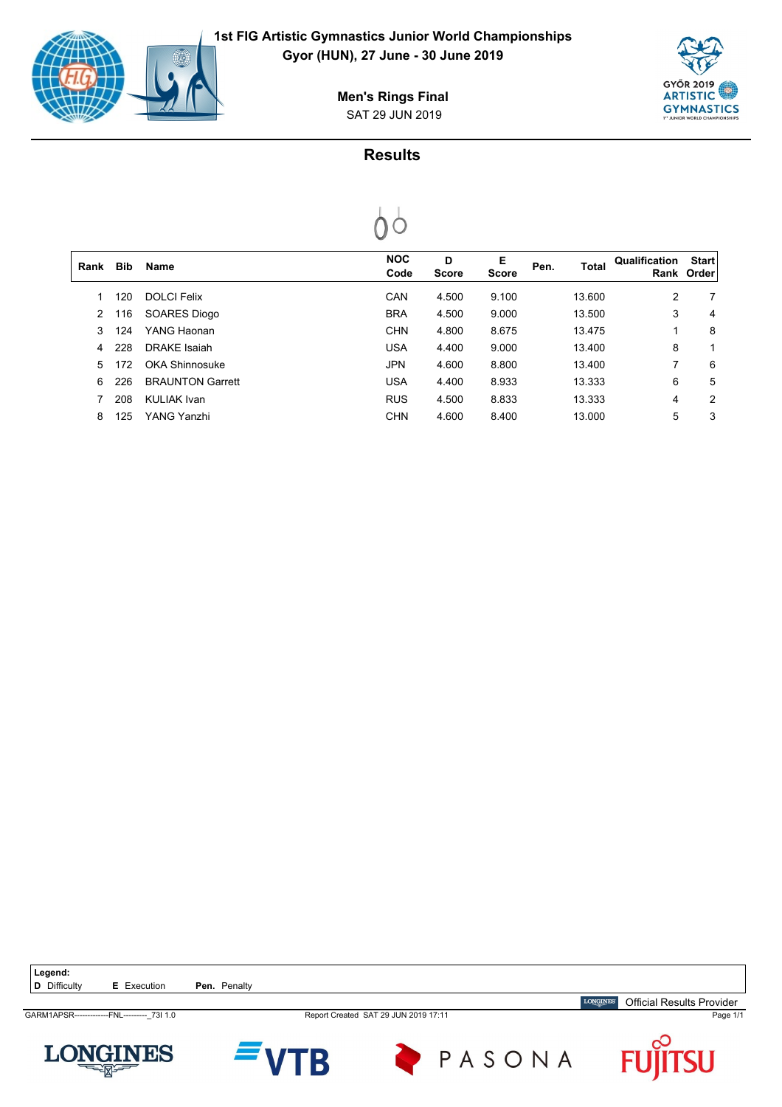

 $\begin{bmatrix} \phantom{-} \end{bmatrix}$ 



SAT 29 JUN 2019 **Men's Rings Final**



| Rank | <b>Bib</b> | Name                    | <b>NOC</b><br>Code | D<br><b>Score</b> | Е<br><b>Score</b> | Pen. | <b>Total</b> | Qualification | <b>Start</b><br>Rank Order |
|------|------------|-------------------------|--------------------|-------------------|-------------------|------|--------------|---------------|----------------------------|
|      | 120        | <b>DOLCI Felix</b>      | CAN                | 4.500             | 9.100             |      | 13.600       | 2             | 7                          |
| 2    | 116        | <b>SOARES Diogo</b>     | <b>BRA</b>         | 4.500             | 9.000             |      | 13.500       | 3             | 4                          |
| 3    | 124        | YANG Haonan             | <b>CHN</b>         | 4.800             | 8.675             |      | 13.475       | 1             | 8                          |
| 4    | 228        | DRAKE Isaiah            | <b>USA</b>         | 4.400             | 9.000             |      | 13.400       | 8             |                            |
| 5.   | 172        | <b>OKA Shinnosuke</b>   | <b>JPN</b>         | 4.600             | 8.800             |      | 13.400       | 7             | 6                          |
| 6    | 226        | <b>BRAUNTON Garrett</b> | <b>USA</b>         | 4.400             | 8.933             |      | 13.333       | 6             | 5                          |
|      | 208        | KULIAK Ivan             | <b>RUS</b>         | 4.500             | 8.833             |      | 13.333       | 4             | 2                          |
| 8    | 125        | YANG Yanzhi             | <b>CHN</b>         | 4.600             | 8.400             |      | 13.000       | 5             | 3                          |
|      |            |                         |                    |                   |                   |      |              |               |                            |

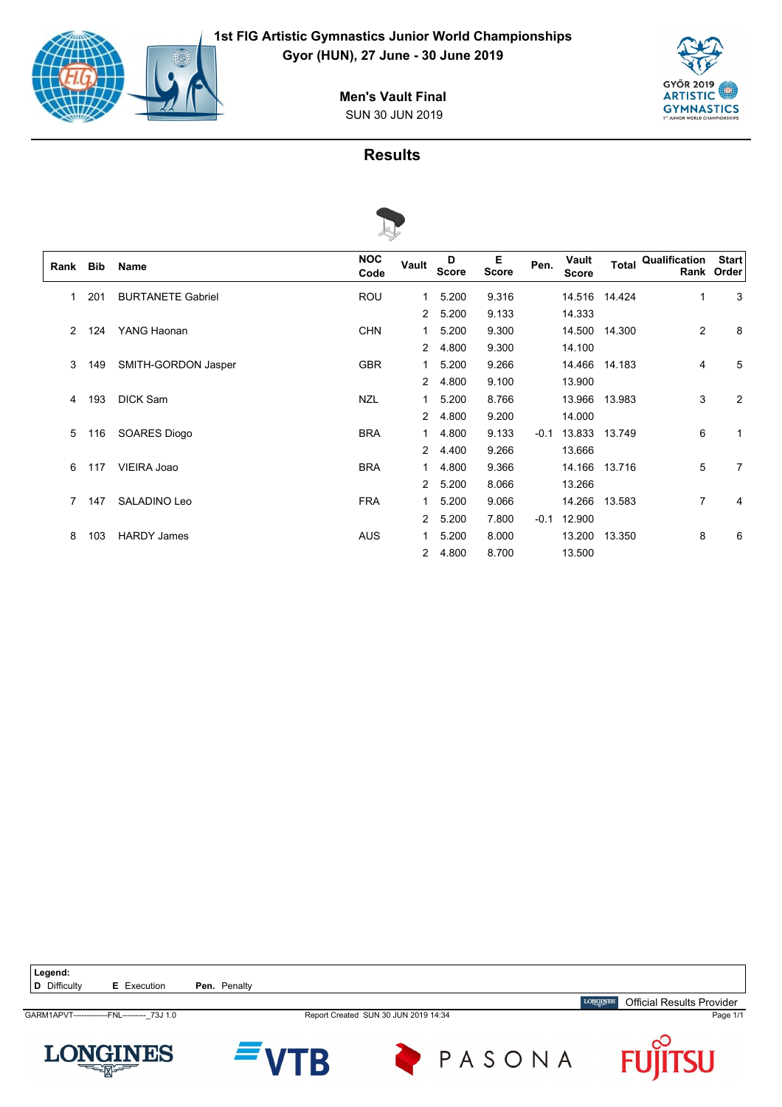

**Gyor (HUN), 27 June - 30 June 2019**



SUN 30 JUN 2019 **Men's Vault Final**



|      |            |                          | V                  |                |                   |            |        |                       |               |                     |                            |
|------|------------|--------------------------|--------------------|----------------|-------------------|------------|--------|-----------------------|---------------|---------------------|----------------------------|
| Rank | <b>Bib</b> | Name                     | <b>NOC</b><br>Code | Vault          | D<br><b>Score</b> | Е<br>Score | Pen.   | Vault<br><b>Score</b> |               | Total Qualification | <b>Start</b><br>Rank Order |
| 1    | 201        | <b>BURTANETE Gabriel</b> | <b>ROU</b>         | 1              | 5.200             | 9.316      |        |                       | 14.516 14.424 | $\mathbf{1}$        | 3                          |
|      |            |                          |                    | $\overline{2}$ | 5.200             | 9.133      |        | 14.333                |               |                     |                            |
| 2    | 124        | YANG Haonan              | <b>CHN</b>         | 1              | 5.200             | 9.300      |        |                       | 14.500 14.300 | 2                   | 8                          |
|      |            |                          |                    | $\overline{2}$ | 4.800             | 9.300      |        | 14.100                |               |                     |                            |
| 3    | 149        | SMITH-GORDON Jasper      | <b>GBR</b>         | 1.             | 5.200             | 9.266      |        |                       | 14.466 14.183 | 4                   | 5                          |
|      |            |                          |                    | $\overline{2}$ | 4.800             | 9.100      |        | 13.900                |               |                     |                            |
| 4    | 193        | <b>DICK Sam</b>          | <b>NZL</b>         | 1              | 5.200             | 8.766      |        |                       | 13.966 13.983 | 3                   | 2                          |
|      |            |                          |                    | $\overline{2}$ | 4.800             | 9.200      |        | 14.000                |               |                     |                            |
| 5    | 116        | <b>SOARES Diogo</b>      | <b>BRA</b>         | 1              | 4.800             | 9.133      | $-0.1$ |                       | 13.833 13.749 | 6                   | 1                          |
|      |            |                          |                    | $\overline{2}$ | 4.400             | 9.266      |        | 13.666                |               |                     |                            |
| 6    | 117        | VIEIRA Joao              | <b>BRA</b>         | 1              | 4.800             | 9.366      |        |                       | 14.166 13.716 | 5                   | $\overline{7}$             |
|      |            |                          |                    |                | 2 5.200           | 8.066      |        | 13.266                |               |                     |                            |
| 7    | 147        | SALADINO Leo             | <b>FRA</b>         | 1              | 5.200             | 9.066      |        |                       | 14.266 13.583 | $\overline{7}$      | 4                          |
|      |            |                          |                    |                | 2 5.200           | 7.800      | $-0.1$ | 12.900                |               |                     |                            |
| 8    | 103        | <b>HARDY James</b>       | <b>AUS</b>         | 1              | 5.200             | 8.000      |        |                       | 13.200 13.350 | 8                   | 6                          |
|      |            |                          |                    | $\overline{2}$ | 4.800             | 8.700      |        | 13.500                |               |                     |                            |

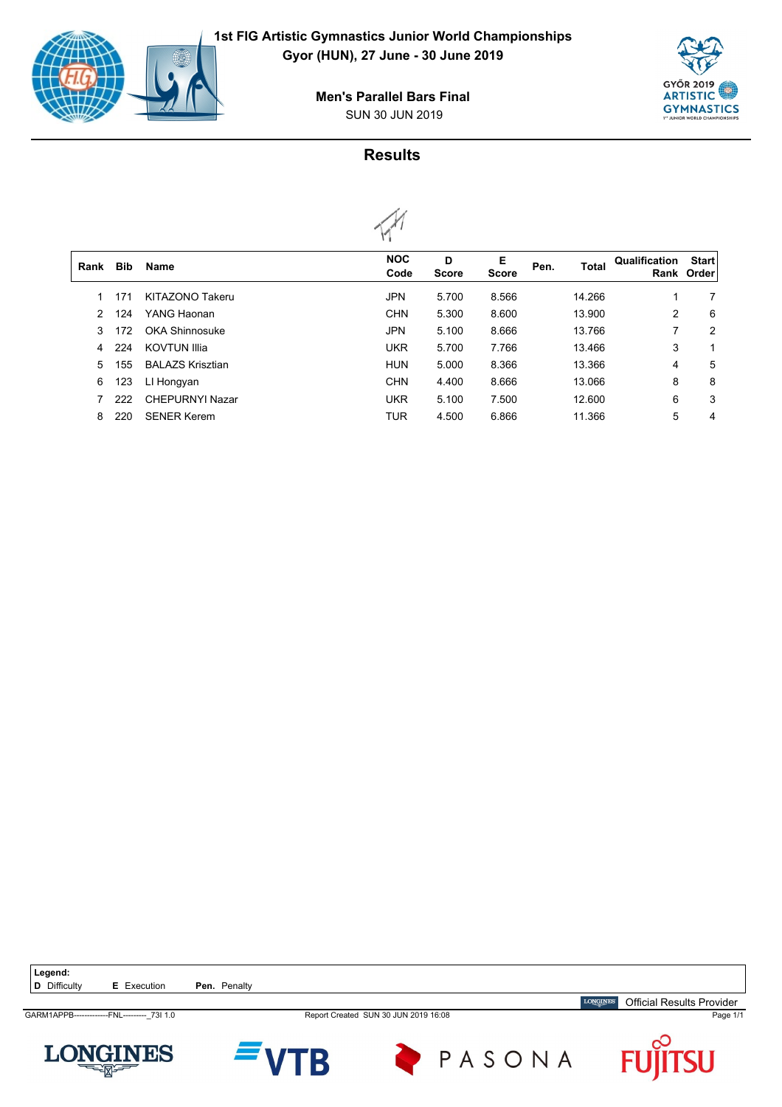

 $\sqrt{2}$ 

**Gyor (HUN), 27 June - 30 June 2019**



SUN 30 JUN 2019 **Men's Parallel Bars Final**



|      |            |                         | . .                |                   |                   |      |              |               |                            |
|------|------------|-------------------------|--------------------|-------------------|-------------------|------|--------------|---------------|----------------------------|
| Rank | <b>Bib</b> | <b>Name</b>             | <b>NOC</b><br>Code | D<br><b>Score</b> | Е<br><b>Score</b> | Pen. | <b>Total</b> | Qualification | <b>Start</b><br>Rank Order |
|      | 171        | KITAZONO Takeru         | <b>JPN</b>         | 5.700             | 8.566             |      | 14.266       | 1             | 7                          |
| 2    | 124        | YANG Haonan             | <b>CHN</b>         | 5.300             | 8.600             |      | 13.900       | 2             | 6                          |
| 3    | 172        | <b>OKA Shinnosuke</b>   | <b>JPN</b>         | 5.100             | 8.666             |      | 13.766       | 7             | 2                          |
| 4    | 224        | <b>KOVTUN Illia</b>     | <b>UKR</b>         | 5.700             | 7.766             |      | 13.466       | 3             |                            |
| 5    | 155        | <b>BALAZS Krisztian</b> | <b>HUN</b>         | 5.000             | 8.366             |      | 13.366       | 4             | 5                          |
| 6    | 123        | LI Hongyan              | <b>CHN</b>         | 4.400             | 8.666             |      | 13.066       | 8             | 8                          |
|      | 222        | <b>CHEPURNYI Nazar</b>  | <b>UKR</b>         | 5.100             | 7.500             |      | 12.600       | 6             | 3                          |
| 8    | 220        | <b>SENER Kerem</b>      | <b>TUR</b>         | 4.500             | 6.866             |      | 11.366       | 5             | 4                          |
|      |            |                         |                    |                   |                   |      |              |               |                            |